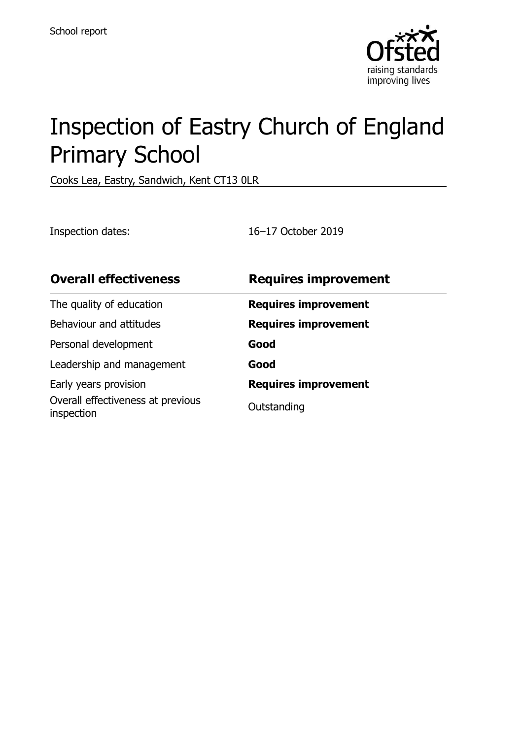

# Inspection of Eastry Church of England Primary School

Cooks Lea, Eastry, Sandwich, Kent CT13 0LR

Inspection dates: 16–17 October 2019

| <b>Overall effectiveness</b>                    | <b>Requires improvement</b> |
|-------------------------------------------------|-----------------------------|
| The quality of education                        | <b>Requires improvement</b> |
| Behaviour and attitudes                         | <b>Requires improvement</b> |
| Personal development                            | Good                        |
| Leadership and management                       | Good                        |
| Early years provision                           | <b>Requires improvement</b> |
| Overall effectiveness at previous<br>inspection | Outstanding                 |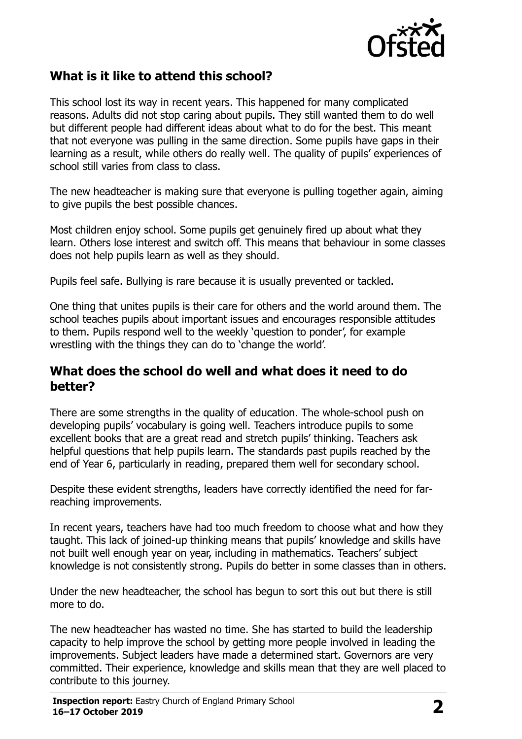

# **What is it like to attend this school?**

This school lost its way in recent years. This happened for many complicated reasons. Adults did not stop caring about pupils. They still wanted them to do well but different people had different ideas about what to do for the best. This meant that not everyone was pulling in the same direction. Some pupils have gaps in their learning as a result, while others do really well. The quality of pupils' experiences of school still varies from class to class.

The new headteacher is making sure that everyone is pulling together again, aiming to give pupils the best possible chances.

Most children enjoy school. Some pupils get genuinely fired up about what they learn. Others lose interest and switch off. This means that behaviour in some classes does not help pupils learn as well as they should.

Pupils feel safe. Bullying is rare because it is usually prevented or tackled.

One thing that unites pupils is their care for others and the world around them. The school teaches pupils about important issues and encourages responsible attitudes to them. Pupils respond well to the weekly 'question to ponder', for example wrestling with the things they can do to 'change the world'.

#### **What does the school do well and what does it need to do better?**

There are some strengths in the quality of education. The whole-school push on developing pupils' vocabulary is going well. Teachers introduce pupils to some excellent books that are a great read and stretch pupils' thinking. Teachers ask helpful questions that help pupils learn. The standards past pupils reached by the end of Year 6, particularly in reading, prepared them well for secondary school.

Despite these evident strengths, leaders have correctly identified the need for farreaching improvements.

In recent years, teachers have had too much freedom to choose what and how they taught. This lack of joined-up thinking means that pupils' knowledge and skills have not built well enough year on year, including in mathematics. Teachers' subject knowledge is not consistently strong. Pupils do better in some classes than in others.

Under the new headteacher, the school has begun to sort this out but there is still more to do.

The new headteacher has wasted no time. She has started to build the leadership capacity to help improve the school by getting more people involved in leading the improvements. Subject leaders have made a determined start. Governors are very committed. Their experience, knowledge and skills mean that they are well placed to contribute to this journey.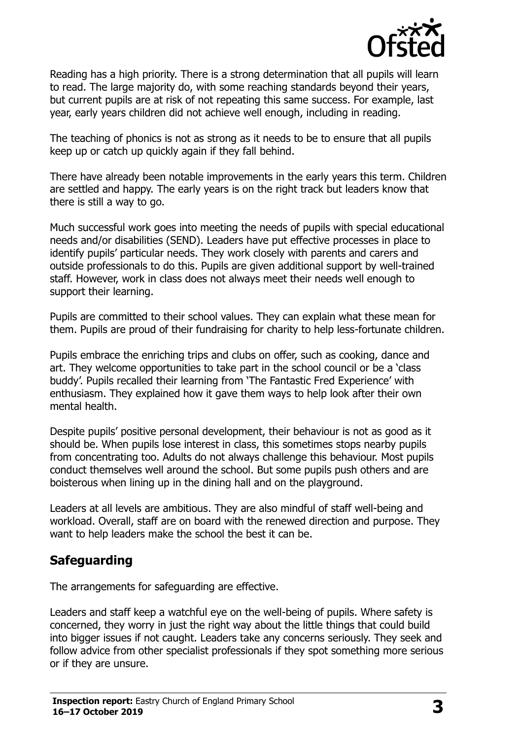

Reading has a high priority. There is a strong determination that all pupils will learn to read. The large majority do, with some reaching standards beyond their years, but current pupils are at risk of not repeating this same success. For example, last year, early years children did not achieve well enough, including in reading.

The teaching of phonics is not as strong as it needs to be to ensure that all pupils keep up or catch up quickly again if they fall behind.

There have already been notable improvements in the early years this term. Children are settled and happy. The early years is on the right track but leaders know that there is still a way to go.

Much successful work goes into meeting the needs of pupils with special educational needs and/or disabilities (SEND). Leaders have put effective processes in place to identify pupils' particular needs. They work closely with parents and carers and outside professionals to do this. Pupils are given additional support by well-trained staff. However, work in class does not always meet their needs well enough to support their learning.

Pupils are committed to their school values. They can explain what these mean for them. Pupils are proud of their fundraising for charity to help less-fortunate children.

Pupils embrace the enriching trips and clubs on offer, such as cooking, dance and art. They welcome opportunities to take part in the school council or be a 'class buddy'. Pupils recalled their learning from 'The Fantastic Fred Experience' with enthusiasm. They explained how it gave them ways to help look after their own mental health.

Despite pupils' positive personal development, their behaviour is not as good as it should be. When pupils lose interest in class, this sometimes stops nearby pupils from concentrating too. Adults do not always challenge this behaviour. Most pupils conduct themselves well around the school. But some pupils push others and are boisterous when lining up in the dining hall and on the playground.

Leaders at all levels are ambitious. They are also mindful of staff well-being and workload. Overall, staff are on board with the renewed direction and purpose. They want to help leaders make the school the best it can be.

### **Safeguarding**

The arrangements for safeguarding are effective.

Leaders and staff keep a watchful eye on the well-being of pupils. Where safety is concerned, they worry in just the right way about the little things that could build into bigger issues if not caught. Leaders take any concerns seriously. They seek and follow advice from other specialist professionals if they spot something more serious or if they are unsure.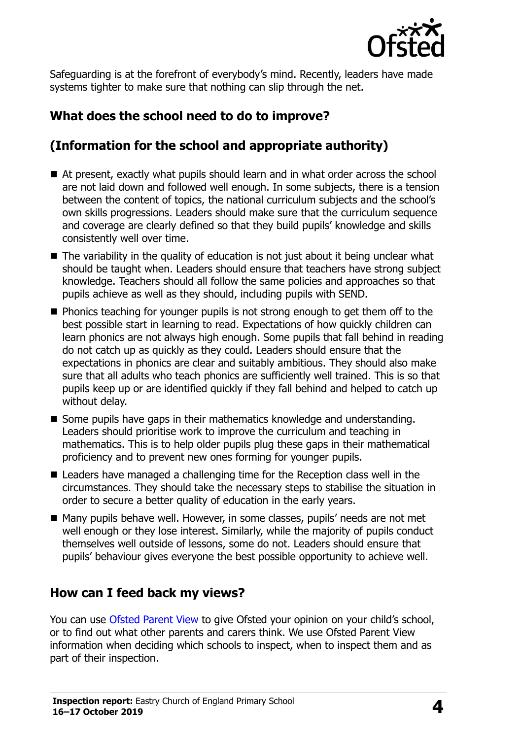

Safeguarding is at the forefront of everybody's mind. Recently, leaders have made systems tighter to make sure that nothing can slip through the net.

# **What does the school need to do to improve?**

# **(Information for the school and appropriate authority)**

- At present, exactly what pupils should learn and in what order across the school are not laid down and followed well enough. In some subjects, there is a tension between the content of topics, the national curriculum subjects and the school's own skills progressions. Leaders should make sure that the curriculum sequence and coverage are clearly defined so that they build pupils' knowledge and skills consistently well over time.
- $\blacksquare$  The variability in the quality of education is not just about it being unclear what should be taught when. Leaders should ensure that teachers have strong subject knowledge. Teachers should all follow the same policies and approaches so that pupils achieve as well as they should, including pupils with SEND.
- Phonics teaching for younger pupils is not strong enough to get them off to the best possible start in learning to read. Expectations of how quickly children can learn phonics are not always high enough. Some pupils that fall behind in reading do not catch up as quickly as they could. Leaders should ensure that the expectations in phonics are clear and suitably ambitious. They should also make sure that all adults who teach phonics are sufficiently well trained. This is so that pupils keep up or are identified quickly if they fall behind and helped to catch up without delay.
- Some pupils have gaps in their mathematics knowledge and understanding. Leaders should prioritise work to improve the curriculum and teaching in mathematics. This is to help older pupils plug these gaps in their mathematical proficiency and to prevent new ones forming for younger pupils.
- Leaders have managed a challenging time for the Reception class well in the circumstances. They should take the necessary steps to stabilise the situation in order to secure a better quality of education in the early years.
- Many pupils behave well. However, in some classes, pupils' needs are not met well enough or they lose interest. Similarly, while the majority of pupils conduct themselves well outside of lessons, some do not. Leaders should ensure that pupils' behaviour gives everyone the best possible opportunity to achieve well.

### **How can I feed back my views?**

You can use [Ofsted Parent View](http://parentview.ofsted.gov.uk/) to give Ofsted your opinion on your child's school, or to find out what other parents and carers think. We use Ofsted Parent View information when deciding which schools to inspect, when to inspect them and as part of their inspection.

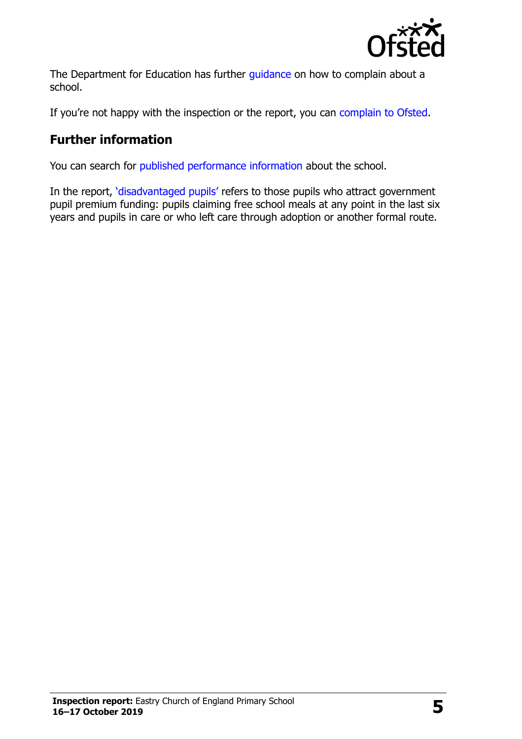

The Department for Education has further quidance on how to complain about a school.

If you're not happy with the inspection or the report, you can [complain to Ofsted.](http://www.gov.uk/complain-ofsted-report)

# **Further information**

You can search for [published performance information](http://www.compare-school-performance.service.gov.uk/) about the school.

In the report, '[disadvantaged pupils](http://www.gov.uk/guidance/pupil-premium-information-for-schools-and-alternative-provision-settings)' refers to those pupils who attract government pupil premium funding: pupils claiming free school meals at any point in the last six years and pupils in care or who left care through adoption or another formal route.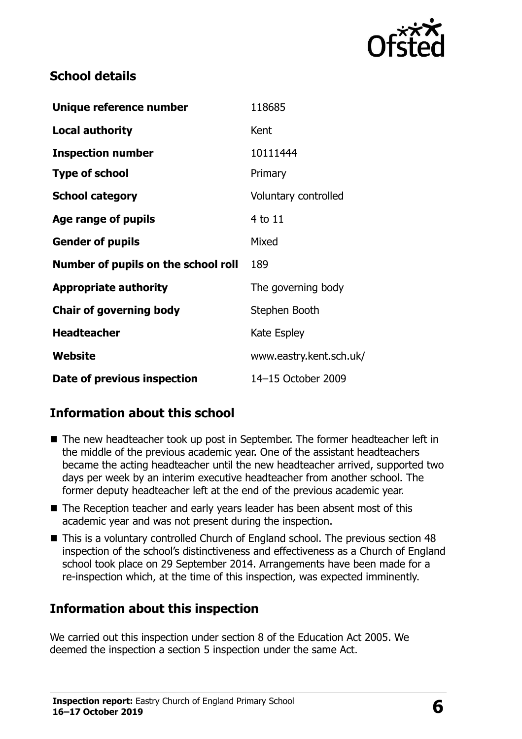

# **School details**

| Unique reference number             | 118685                  |
|-------------------------------------|-------------------------|
| <b>Local authority</b>              | Kent                    |
| <b>Inspection number</b>            | 10111444                |
| <b>Type of school</b>               | Primary                 |
| <b>School category</b>              | Voluntary controlled    |
| <b>Age range of pupils</b>          | 4 to 11                 |
| <b>Gender of pupils</b>             | Mixed                   |
| Number of pupils on the school roll | 189                     |
| <b>Appropriate authority</b>        | The governing body      |
| <b>Chair of governing body</b>      | Stephen Booth           |
| <b>Headteacher</b>                  | Kate Espley             |
| Website                             | www.eastry.kent.sch.uk/ |
| Date of previous inspection         | 14-15 October 2009      |

# **Information about this school**

- The new headteacher took up post in September. The former headteacher left in the middle of the previous academic year. One of the assistant headteachers became the acting headteacher until the new headteacher arrived, supported two days per week by an interim executive headteacher from another school. The former deputy headteacher left at the end of the previous academic year.
- The Reception teacher and early years leader has been absent most of this academic year and was not present during the inspection.
- This is a voluntary controlled Church of England school. The previous section 48 inspection of the school's distinctiveness and effectiveness as a Church of England school took place on 29 September 2014. Arrangements have been made for a re-inspection which, at the time of this inspection, was expected imminently.

### **Information about this inspection**

We carried out this inspection under section 8 of the Education Act 2005. We deemed the inspection a section 5 inspection under the same Act.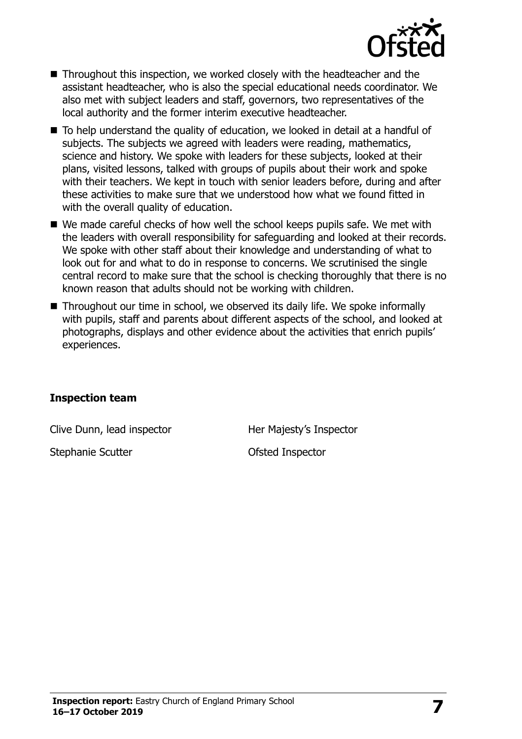

- Throughout this inspection, we worked closely with the headteacher and the assistant headteacher, who is also the special educational needs coordinator. We also met with subject leaders and staff, governors, two representatives of the local authority and the former interim executive headteacher.
- To help understand the quality of education, we looked in detail at a handful of subjects. The subjects we agreed with leaders were reading, mathematics, science and history. We spoke with leaders for these subjects, looked at their plans, visited lessons, talked with groups of pupils about their work and spoke with their teachers. We kept in touch with senior leaders before, during and after these activities to make sure that we understood how what we found fitted in with the overall quality of education.
- We made careful checks of how well the school keeps pupils safe. We met with the leaders with overall responsibility for safeguarding and looked at their records. We spoke with other staff about their knowledge and understanding of what to look out for and what to do in response to concerns. We scrutinised the single central record to make sure that the school is checking thoroughly that there is no known reason that adults should not be working with children.
- Throughout our time in school, we observed its daily life. We spoke informally with pupils, staff and parents about different aspects of the school, and looked at photographs, displays and other evidence about the activities that enrich pupils' experiences.

#### **Inspection team**

Clive Dunn, lead inspector **Her Majesty's Inspector** 

Stephanie Scutter **Calculation** Ofsted Inspector